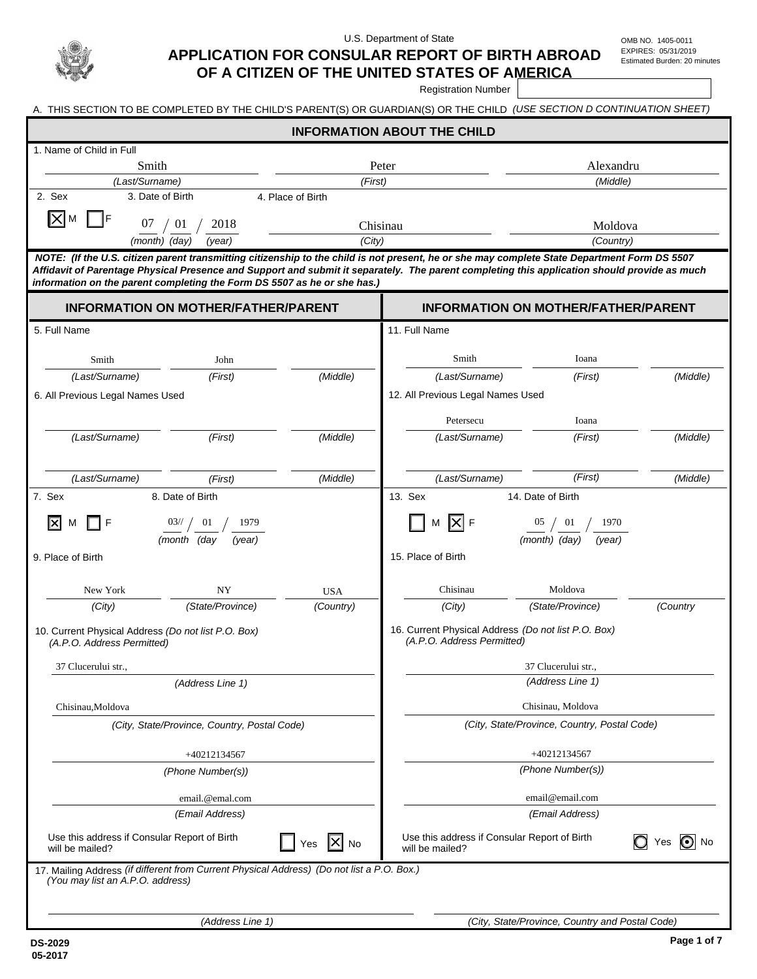

U.S. Department of State OMB NO. 1405-0011

EXPIRES: 05/31/2019 Estimated Burden: 20 minutes

## **APPLICATION FOR CONSULAR REPORT OF BIRTH ABROAD OF A CITIZEN OF THE UNITED STATES OF AMERICA**

Registration Number

1. Name of Child in Full *(Last/Surname)*   **INFORMATION ABOUT THE CHILD**  *(First) (Middle)*  Smith Alexandru and Peter and Alexandru and Alexandru and Alexandru and Alexandru and Alexandru and Alexandru

A. THIS SECTION TO BE COMPLETED BY THE CHILD'S PARENT(S) OR GUARDIAN(S) OR THE CHILD *(USE SECTION D CONTINUATION SHEET)* 

|        |                         | HOTE: (If the U.O. eldern noused togenetation eldernation to the child is not proceed to an other provided District Demonstrational Found DO FEOT |           |
|--------|-------------------------|---------------------------------------------------------------------------------------------------------------------------------------------------|-----------|
|        | (month) (day)<br>(year) | (City)                                                                                                                                            | (Country) |
| IXIм   | 07<br>2018<br>-01       | hisinau                                                                                                                                           | Moldova   |
| 2. Sex | 3. Date of Birth        | 4. Place of Birth                                                                                                                                 |           |

 *NOTE: (If the U.S. citizen parent transmitting citizenship to the child is not present, he or she may complete State Department Form DS 5507 Affidavit of Parentage Physical Presence and Support and submit it separately. The parent completing this application should provide as much information on the parent completing the Form DS 5507 as he or she has.)*

| <b>INFORMATION ON MOTHER/FATHER/PARENT</b>                                                                                     |                       |                  | <b>INFORMATION ON MOTHER/FATHER/PARENT</b>                                                      |                         |          |  |
|--------------------------------------------------------------------------------------------------------------------------------|-----------------------|------------------|-------------------------------------------------------------------------------------------------|-------------------------|----------|--|
| 5. Full Name                                                                                                                   |                       |                  | 11. Full Name                                                                                   |                         |          |  |
|                                                                                                                                |                       |                  |                                                                                                 |                         |          |  |
| Smith                                                                                                                          | John                  |                  | Smith                                                                                           | Ioana                   |          |  |
| (Last/Surname)                                                                                                                 | (First)               | (Middle)         | (Last/Surname)                                                                                  | (First)                 | (Middle) |  |
| 6. All Previous Legal Names Used                                                                                               |                       |                  | 12. All Previous Legal Names Used                                                               |                         |          |  |
|                                                                                                                                |                       |                  | Petersecu                                                                                       | Ioana                   |          |  |
| (Last/Surname)                                                                                                                 | (First)               | (Middle)         | (Last/Surname)                                                                                  | (First)                 | (Middle) |  |
| (Last/Surname)                                                                                                                 | (First)               | (Middle)         | (Last/Surname)                                                                                  | (First)                 | (Middle) |  |
| 7. Sex                                                                                                                         | 8. Date of Birth      |                  | 13. Sex                                                                                         | 14. Date of Birth       |          |  |
| F<br>м                                                                                                                         | 03/7<br>01<br>1979    |                  | F                                                                                               | 01<br>1970              |          |  |
|                                                                                                                                | (month (dav<br>(year) |                  |                                                                                                 | (month) (day)<br>(year) |          |  |
| 9. Place of Birth                                                                                                              |                       |                  | 15. Place of Birth                                                                              |                         |          |  |
| New York                                                                                                                       | NY                    | <b>USA</b>       | Chisinau                                                                                        | Moldova                 |          |  |
| (City)                                                                                                                         | (State/Province)      | (Country)        | (City)                                                                                          | (State/Province)        | (Country |  |
| 10. Current Physical Address (Do not list P.O. Box)<br>(A.P.O. Address Permitted)                                              |                       |                  | 16. Current Physical Address (Do not list P.O. Box)<br>(A.P.O. Address Permitted)               |                         |          |  |
| 37 Clucerului str.,                                                                                                            |                       |                  | 37 Clucerului str.,                                                                             |                         |          |  |
|                                                                                                                                | (Address Line 1)      |                  |                                                                                                 | (Address Line 1)        |          |  |
| Chisinau, Moldova                                                                                                              |                       |                  | Chisinau, Moldova                                                                               |                         |          |  |
| (City, State/Province, Country, Postal Code)                                                                                   |                       |                  | (City, State/Province, Country, Postal Code)                                                    |                         |          |  |
|                                                                                                                                | +40212134567          |                  | +40212134567                                                                                    |                         |          |  |
|                                                                                                                                | (Phone Number(s))     |                  | (Phone Number(s))                                                                               |                         |          |  |
|                                                                                                                                | email.@emal.com       |                  | email@email.com                                                                                 |                         |          |  |
| (Email Address)                                                                                                                |                       |                  | (Email Address)                                                                                 |                         |          |  |
| Use this address if Consular Report of Birth<br>will be mailed?                                                                |                       | <b>No</b><br>Yes | Use this address if Consular Report of Birth<br>$\bigcirc$ Yes $\bigcirc$ No<br>will be mailed? |                         |          |  |
| 17. Mailing Address (if different from Current Physical Address) (Do not list a P.O. Box.)<br>(You may list an A.P.O. address) |                       |                  |                                                                                                 |                         |          |  |
|                                                                                                                                |                       |                  |                                                                                                 |                         |          |  |
| (Address Line 1)                                                                                                               |                       |                  | (City, State/Province, Country and Postal Code)                                                 |                         |          |  |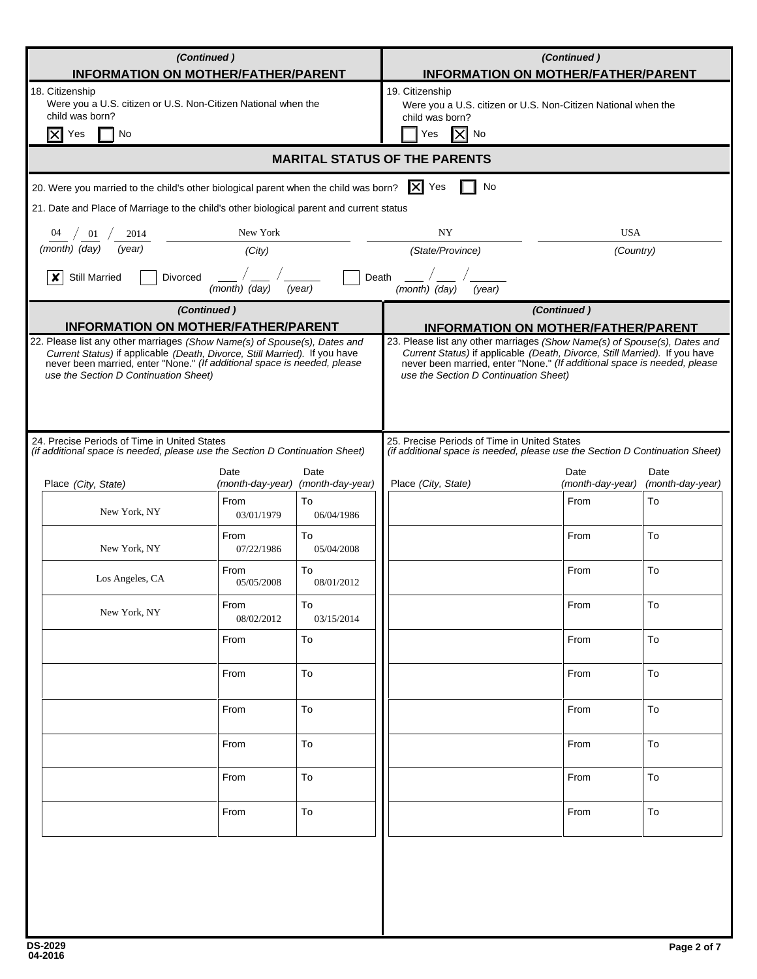| (Continued)<br><b>INFORMATION ON MOTHER/FATHER/PARENT</b>                                                                                                                                                                                                                                                                  |                    |                                           | (Continued)<br><b>INFORMATION ON MOTHER/FATHER/PARENT</b>                                                                                                                                                                                                                                                                  |                          |                          |  |
|----------------------------------------------------------------------------------------------------------------------------------------------------------------------------------------------------------------------------------------------------------------------------------------------------------------------------|--------------------|-------------------------------------------|----------------------------------------------------------------------------------------------------------------------------------------------------------------------------------------------------------------------------------------------------------------------------------------------------------------------------|--------------------------|--------------------------|--|
| 18. Citizenship<br>Were you a U.S. citizen or U.S. Non-Citizen National when the<br>child was born?<br>Ix<br>No<br>Yes                                                                                                                                                                                                     |                    |                                           | 19. Citizenship<br>Were you a U.S. citizen or U.S. Non-Citizen National when the<br>child was born?<br>ΙXΙ<br>Yes<br>No                                                                                                                                                                                                    |                          |                          |  |
|                                                                                                                                                                                                                                                                                                                            |                    |                                           | <b>MARITAL STATUS OF THE PARENTS</b>                                                                                                                                                                                                                                                                                       |                          |                          |  |
| 20. Were you married to the child's other biological parent when the child was born? $\ \mathbf{X}\ $ Yes                                                                                                                                                                                                                  |                    |                                           | No                                                                                                                                                                                                                                                                                                                         |                          |                          |  |
| 21. Date and Place of Marriage to the child's other biological parent and current status                                                                                                                                                                                                                                   |                    |                                           |                                                                                                                                                                                                                                                                                                                            |                          |                          |  |
| 01<br>2014                                                                                                                                                                                                                                                                                                                 | New York           |                                           | <b>USA</b><br>NY                                                                                                                                                                                                                                                                                                           |                          |                          |  |
| (month) (day)<br>(year)                                                                                                                                                                                                                                                                                                    | (City)             |                                           | (State/Province)<br>(Country)                                                                                                                                                                                                                                                                                              |                          |                          |  |
| <b>Still Married</b><br><b>Divorced</b><br>x                                                                                                                                                                                                                                                                               | (month) (day)      | Death<br>(year)                           | (month) (day)<br>(year)                                                                                                                                                                                                                                                                                                    |                          |                          |  |
| (Continued)                                                                                                                                                                                                                                                                                                                |                    |                                           |                                                                                                                                                                                                                                                                                                                            | (Continued)              |                          |  |
| <b>INFORMATION ON MOTHER/FATHER/PARENT</b><br>22. Please list any other marriages (Show Name(s) of Spouse(s), Dates and<br>Current Status) if applicable (Death, Divorce, Still Married). If you have<br>never been married, enter "None." (If additional space is needed, please<br>use the Section D Continuation Sheet) |                    |                                           | <b>INFORMATION ON MOTHER/FATHER/PARENT</b><br>23. Please list any other marriages (Show Name(s) of Spouse(s), Dates and<br>Current Status) if applicable (Death, Divorce, Still Married). If you have<br>never been married, enter "None." (If additional space is needed, please<br>use the Section D Continuation Sheet) |                          |                          |  |
| 24. Precise Periods of Time in United States<br>(if additional space is needed, please use the Section D Continuation Sheet)                                                                                                                                                                                               |                    |                                           | 25. Precise Periods of Time in United States<br>(if additional space is needed, please use the Section D Continuation Sheet)                                                                                                                                                                                               |                          |                          |  |
| Place (City, State)                                                                                                                                                                                                                                                                                                        | Date               | Date<br>(month-day-year) (month-day-year) | Place (City, State)                                                                                                                                                                                                                                                                                                        | Date<br>(month-day-year) | Date<br>(month-day-year) |  |
| New York, NY                                                                                                                                                                                                                                                                                                               | From<br>03/01/1979 | To<br>06/04/1986                          |                                                                                                                                                                                                                                                                                                                            | From                     | To                       |  |
| New York, NY                                                                                                                                                                                                                                                                                                               | From<br>07/22/1986 | To<br>05/04/2008                          |                                                                                                                                                                                                                                                                                                                            | From                     | To                       |  |
| Los Angeles, CA                                                                                                                                                                                                                                                                                                            | From<br>05/05/2008 | To<br>08/01/2012                          |                                                                                                                                                                                                                                                                                                                            | From                     | To                       |  |
| New York, NY                                                                                                                                                                                                                                                                                                               | From<br>08/02/2012 | To<br>03/15/2014                          |                                                                                                                                                                                                                                                                                                                            | From                     | To                       |  |
|                                                                                                                                                                                                                                                                                                                            | From               | To                                        |                                                                                                                                                                                                                                                                                                                            | From                     | To                       |  |
|                                                                                                                                                                                                                                                                                                                            | From               | To                                        |                                                                                                                                                                                                                                                                                                                            | From                     | To                       |  |
|                                                                                                                                                                                                                                                                                                                            | From               | To                                        |                                                                                                                                                                                                                                                                                                                            | From                     | To                       |  |
|                                                                                                                                                                                                                                                                                                                            | From               | To                                        |                                                                                                                                                                                                                                                                                                                            | From                     | To                       |  |
|                                                                                                                                                                                                                                                                                                                            | From               | To                                        |                                                                                                                                                                                                                                                                                                                            | From                     | To                       |  |
|                                                                                                                                                                                                                                                                                                                            | From               | To                                        |                                                                                                                                                                                                                                                                                                                            | From                     | To                       |  |
|                                                                                                                                                                                                                                                                                                                            |                    |                                           |                                                                                                                                                                                                                                                                                                                            |                          |                          |  |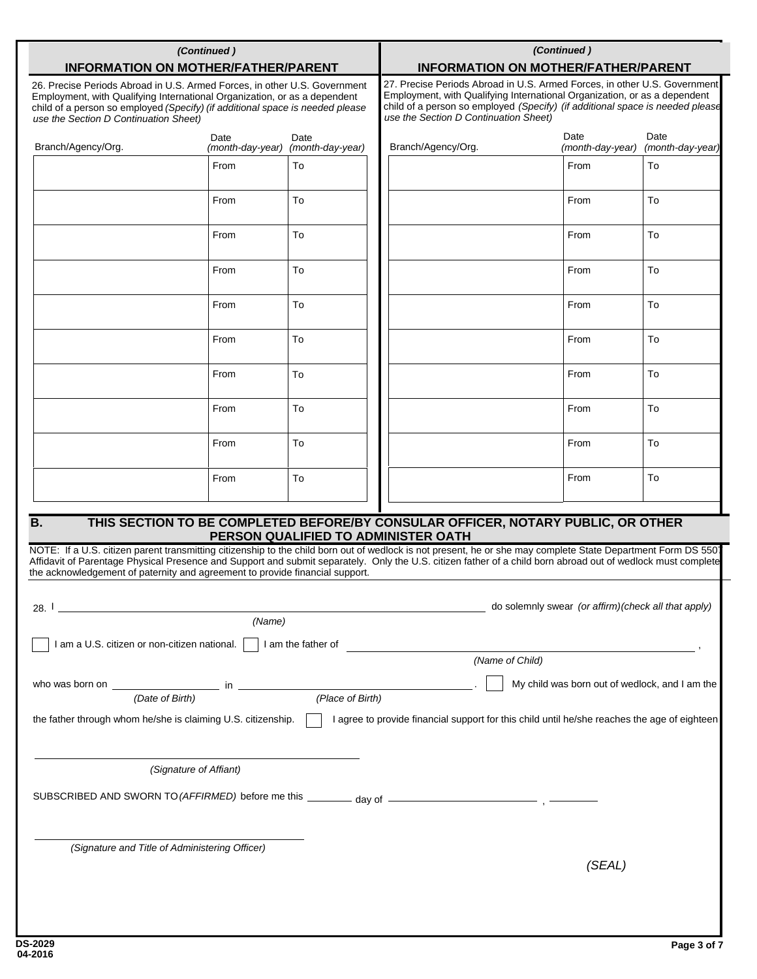| (Continued)<br><b>INFORMATION ON MOTHER/FATHER/PARENT</b>                                                                                                                                                                                                                        |                                                                                  |                                                                                                                                                                                                                                                                                  | (Continued)<br><b>INFORMATION ON MOTHER/FATHER/PARENT</b> |                                                                                                                                                                                                                                                                                                                                                                      |                                                     |                          |  |
|----------------------------------------------------------------------------------------------------------------------------------------------------------------------------------------------------------------------------------------------------------------------------------|----------------------------------------------------------------------------------|----------------------------------------------------------------------------------------------------------------------------------------------------------------------------------------------------------------------------------------------------------------------------------|-----------------------------------------------------------|----------------------------------------------------------------------------------------------------------------------------------------------------------------------------------------------------------------------------------------------------------------------------------------------------------------------------------------------------------------------|-----------------------------------------------------|--------------------------|--|
| 26. Precise Periods Abroad in U.S. Armed Forces, in other U.S. Government<br>Employment, with Qualifying International Organization, or as a dependent<br>child of a person so employed (Specify) (if additional space is needed please<br>use the Section D Continuation Sheet) |                                                                                  | 27. Precise Periods Abroad in U.S. Armed Forces, in other U.S. Government<br>Employment, with Qualifying International Organization, or as a dependent<br>child of a person so employed (Specify) (if additional space is needed please<br>use the Section D Continuation Sheet) |                                                           |                                                                                                                                                                                                                                                                                                                                                                      |                                                     |                          |  |
| Branch/Agency/Org.                                                                                                                                                                                                                                                               | Date<br>(month-day-year)                                                         | Date<br>(month-day-year)                                                                                                                                                                                                                                                         |                                                           | Branch/Agency/Org.                                                                                                                                                                                                                                                                                                                                                   | Date<br>(month-day-year)                            | Date<br>(month-day-year) |  |
|                                                                                                                                                                                                                                                                                  | From                                                                             | To                                                                                                                                                                                                                                                                               |                                                           |                                                                                                                                                                                                                                                                                                                                                                      | From                                                | To                       |  |
|                                                                                                                                                                                                                                                                                  | From                                                                             | To                                                                                                                                                                                                                                                                               |                                                           |                                                                                                                                                                                                                                                                                                                                                                      | From                                                | To                       |  |
|                                                                                                                                                                                                                                                                                  | From                                                                             | To                                                                                                                                                                                                                                                                               |                                                           |                                                                                                                                                                                                                                                                                                                                                                      | From                                                | To                       |  |
|                                                                                                                                                                                                                                                                                  | From                                                                             | To                                                                                                                                                                                                                                                                               |                                                           |                                                                                                                                                                                                                                                                                                                                                                      | From                                                | To                       |  |
|                                                                                                                                                                                                                                                                                  | From                                                                             | To                                                                                                                                                                                                                                                                               |                                                           |                                                                                                                                                                                                                                                                                                                                                                      | From                                                | To                       |  |
|                                                                                                                                                                                                                                                                                  | From                                                                             | To                                                                                                                                                                                                                                                                               |                                                           |                                                                                                                                                                                                                                                                                                                                                                      | From                                                | To                       |  |
|                                                                                                                                                                                                                                                                                  | From                                                                             | To                                                                                                                                                                                                                                                                               |                                                           |                                                                                                                                                                                                                                                                                                                                                                      | From                                                | To                       |  |
|                                                                                                                                                                                                                                                                                  | From                                                                             | To                                                                                                                                                                                                                                                                               |                                                           |                                                                                                                                                                                                                                                                                                                                                                      | From                                                | To                       |  |
|                                                                                                                                                                                                                                                                                  | From                                                                             | To                                                                                                                                                                                                                                                                               |                                                           |                                                                                                                                                                                                                                                                                                                                                                      | From                                                | To                       |  |
|                                                                                                                                                                                                                                                                                  | From                                                                             | To                                                                                                                                                                                                                                                                               |                                                           |                                                                                                                                                                                                                                                                                                                                                                      | From                                                | To                       |  |
| <b>B.</b>                                                                                                                                                                                                                                                                        | THIS SECTION TO BE COMPLETED BEFORE/BY CONSULAR OFFICER, NOTARY PUBLIC, OR OTHER |                                                                                                                                                                                                                                                                                  |                                                           |                                                                                                                                                                                                                                                                                                                                                                      |                                                     |                          |  |
| the acknowledgement of paternity and agreement to provide financial support.                                                                                                                                                                                                     |                                                                                  |                                                                                                                                                                                                                                                                                  |                                                           | PERSON QUALIFIED TO ADMINISTER OATH<br>NOTE: If a U.S. citizen parent transmitting citizenship to the child born out of wedlock is not present, he or she may complete State Department Form DS 5507<br>Affidavit of Parentage Physical Presence and Support and submit separately. Only the U.S. citizen father of a child born abroad out of wedlock must complete |                                                     |                          |  |
| 28.∣                                                                                                                                                                                                                                                                             |                                                                                  |                                                                                                                                                                                                                                                                                  |                                                           |                                                                                                                                                                                                                                                                                                                                                                      | do solemnly swear (or affirm)(check all that apply) |                          |  |
|                                                                                                                                                                                                                                                                                  | (Name)                                                                           |                                                                                                                                                                                                                                                                                  |                                                           |                                                                                                                                                                                                                                                                                                                                                                      |                                                     |                          |  |
| I am a U.S. citizen or non-citizen national. $\vert \cdot \vert$ I am the father of                                                                                                                                                                                              |                                                                                  |                                                                                                                                                                                                                                                                                  |                                                           | (Name of Child)                                                                                                                                                                                                                                                                                                                                                      |                                                     |                          |  |
|                                                                                                                                                                                                                                                                                  |                                                                                  |                                                                                                                                                                                                                                                                                  |                                                           |                                                                                                                                                                                                                                                                                                                                                                      |                                                     |                          |  |
| My child was born out of wedlock, and I am the<br>(Place of Birth)<br>(Date of Birth)                                                                                                                                                                                            |                                                                                  |                                                                                                                                                                                                                                                                                  |                                                           |                                                                                                                                                                                                                                                                                                                                                                      |                                                     |                          |  |
| the father through whom he/she is claiming U.S. citizenship.<br>I agree to provide financial support for this child until he/she reaches the age of eighteen                                                                                                                     |                                                                                  |                                                                                                                                                                                                                                                                                  |                                                           |                                                                                                                                                                                                                                                                                                                                                                      |                                                     |                          |  |
| (Signature of Affiant)                                                                                                                                                                                                                                                           |                                                                                  |                                                                                                                                                                                                                                                                                  |                                                           |                                                                                                                                                                                                                                                                                                                                                                      |                                                     |                          |  |
| SUBSCRIBED AND SWORN TO (AFFIRMED) before me this ________ day of __________________________________                                                                                                                                                                             |                                                                                  |                                                                                                                                                                                                                                                                                  |                                                           |                                                                                                                                                                                                                                                                                                                                                                      |                                                     |                          |  |
|                                                                                                                                                                                                                                                                                  |                                                                                  |                                                                                                                                                                                                                                                                                  |                                                           |                                                                                                                                                                                                                                                                                                                                                                      |                                                     |                          |  |
| (Signature and Title of Administering Officer)                                                                                                                                                                                                                                   |                                                                                  |                                                                                                                                                                                                                                                                                  |                                                           |                                                                                                                                                                                                                                                                                                                                                                      | (SEAL)                                              |                          |  |
|                                                                                                                                                                                                                                                                                  |                                                                                  |                                                                                                                                                                                                                                                                                  |                                                           |                                                                                                                                                                                                                                                                                                                                                                      |                                                     |                          |  |
|                                                                                                                                                                                                                                                                                  |                                                                                  |                                                                                                                                                                                                                                                                                  |                                                           |                                                                                                                                                                                                                                                                                                                                                                      |                                                     |                          |  |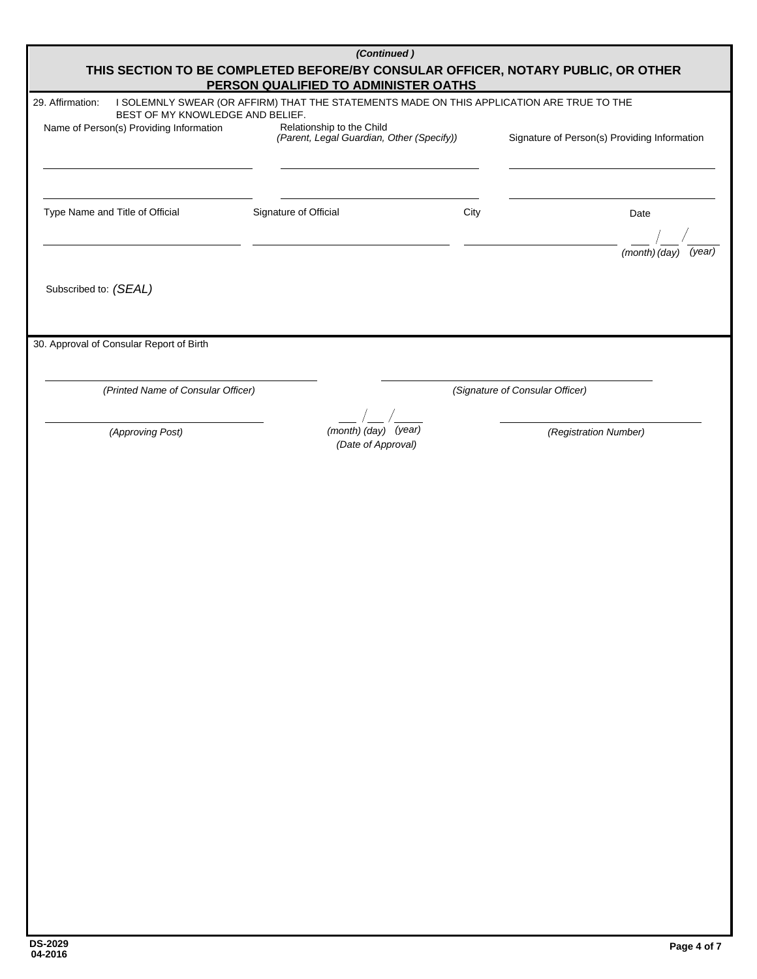| (Continued)<br>THIS SECTION TO BE COMPLETED BEFORE/BY CONSULAR OFFICER, NOTARY PUBLIC, OR OTHER<br>PERSON QUALIFIED TO ADMINISTER OATHS |                                                                                           |      |                                              |  |  |  |
|-----------------------------------------------------------------------------------------------------------------------------------------|-------------------------------------------------------------------------------------------|------|----------------------------------------------|--|--|--|
| 29. Affirmation:                                                                                                                        | I SOLEMNLY SWEAR (OR AFFIRM) THAT THE STATEMENTS MADE ON THIS APPLICATION ARE TRUE TO THE |      |                                              |  |  |  |
| BEST OF MY KNOWLEDGE AND BELIEF.                                                                                                        |                                                                                           |      |                                              |  |  |  |
| Name of Person(s) Providing Information                                                                                                 | Relationship to the Child<br>(Parent, Legal Guardian, Other (Specify))                    |      | Signature of Person(s) Providing Information |  |  |  |
|                                                                                                                                         |                                                                                           |      |                                              |  |  |  |
| Type Name and Title of Official                                                                                                         | Signature of Official                                                                     | City | Date                                         |  |  |  |
|                                                                                                                                         |                                                                                           |      | (month) (day)<br>(year)                      |  |  |  |
| Subscribed to: (SEAL)                                                                                                                   |                                                                                           |      |                                              |  |  |  |
| 30. Approval of Consular Report of Birth                                                                                                |                                                                                           |      |                                              |  |  |  |
| (Printed Name of Consular Officer)                                                                                                      |                                                                                           |      | (Signature of Consular Officer)              |  |  |  |
| (Approving Post)                                                                                                                        | (month) (day) (year)<br>(Date of Approval)                                                |      | (Registration Number)                        |  |  |  |
|                                                                                                                                         |                                                                                           |      |                                              |  |  |  |
|                                                                                                                                         |                                                                                           |      |                                              |  |  |  |
|                                                                                                                                         |                                                                                           |      |                                              |  |  |  |
|                                                                                                                                         |                                                                                           |      |                                              |  |  |  |
|                                                                                                                                         |                                                                                           |      |                                              |  |  |  |
|                                                                                                                                         |                                                                                           |      |                                              |  |  |  |
|                                                                                                                                         |                                                                                           |      |                                              |  |  |  |
|                                                                                                                                         |                                                                                           |      |                                              |  |  |  |
|                                                                                                                                         |                                                                                           |      |                                              |  |  |  |
|                                                                                                                                         |                                                                                           |      |                                              |  |  |  |
|                                                                                                                                         |                                                                                           |      |                                              |  |  |  |
|                                                                                                                                         |                                                                                           |      |                                              |  |  |  |
|                                                                                                                                         |                                                                                           |      |                                              |  |  |  |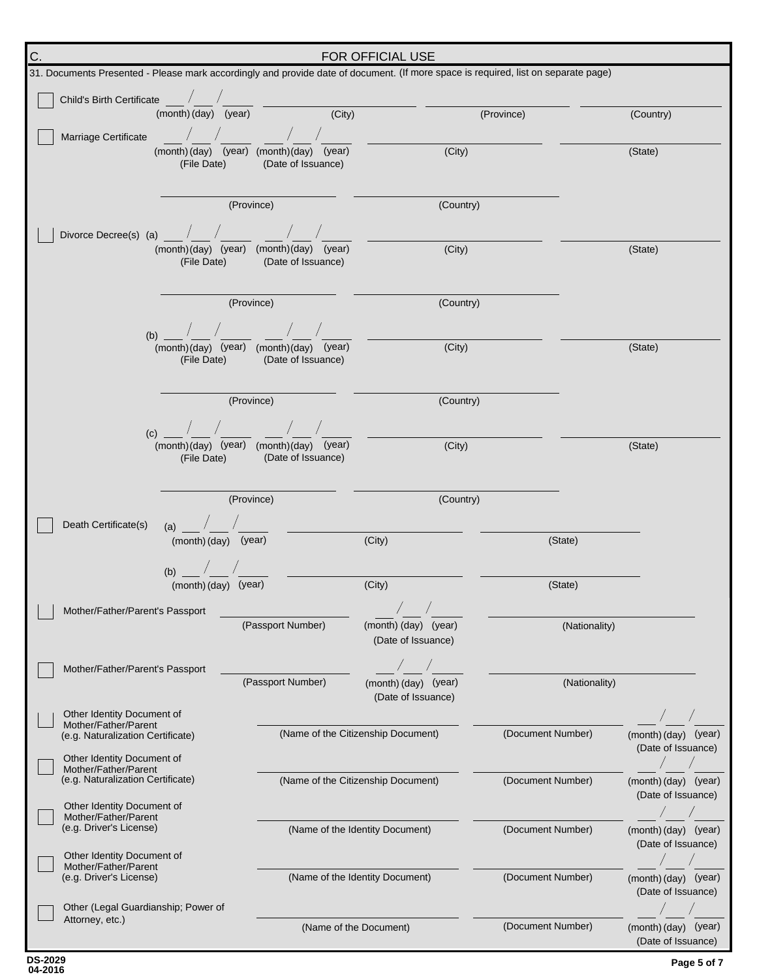| C.                                                       | <b>FOR OFFICIAL USE</b>                                                                                                            |                                                                           |                                    |                   |                                            |  |  |
|----------------------------------------------------------|------------------------------------------------------------------------------------------------------------------------------------|---------------------------------------------------------------------------|------------------------------------|-------------------|--------------------------------------------|--|--|
|                                                          | 31. Documents Presented - Please mark accordingly and provide date of document. (If more space is required, list on separate page) |                                                                           |                                    |                   |                                            |  |  |
|                                                          | Child's Birth Certificate /                                                                                                        |                                                                           |                                    |                   |                                            |  |  |
|                                                          | (month) (day) (year)                                                                                                               | (City)                                                                    |                                    | (Province)        | (Country)                                  |  |  |
|                                                          | Marriage Certificate                                                                                                               |                                                                           |                                    |                   |                                            |  |  |
|                                                          | (File Date)                                                                                                                        | (month) (day) (year) (month) (day) (year)<br>(Date of Issuance)           | (City)                             |                   | (State)                                    |  |  |
|                                                          |                                                                                                                                    |                                                                           |                                    |                   |                                            |  |  |
|                                                          |                                                                                                                                    | (Province)                                                                | (Country)                          |                   |                                            |  |  |
|                                                          |                                                                                                                                    |                                                                           |                                    |                   |                                            |  |  |
|                                                          | Divorce Decree(s) (a) $\sqrt{2}$                                                                                                   | (month)(day) (year) (month)(day) (year)                                   | (City)                             |                   | (State)                                    |  |  |
|                                                          | (File Date)                                                                                                                        | (Date of Issuance)                                                        |                                    |                   |                                            |  |  |
|                                                          |                                                                                                                                    |                                                                           |                                    |                   |                                            |  |  |
|                                                          |                                                                                                                                    | (Province)                                                                | (Country)                          |                   |                                            |  |  |
|                                                          | (b) $\frac{1}{2}$ $\frac{1}{2}$ $\frac{1}{2}$ $\frac{1}{2}$                                                                        |                                                                           |                                    |                   |                                            |  |  |
|                                                          |                                                                                                                                    | (month)(day) (year) (month)(day) (year)                                   | (City)                             |                   | (State)                                    |  |  |
|                                                          | (File Date)                                                                                                                        | (Date of Issuance)                                                        |                                    |                   |                                            |  |  |
|                                                          |                                                                                                                                    |                                                                           |                                    |                   |                                            |  |  |
|                                                          |                                                                                                                                    | (Province)                                                                | (Country)                          |                   |                                            |  |  |
|                                                          | (c)                                                                                                                                | $\sqrt{2}$                                                                |                                    |                   |                                            |  |  |
|                                                          |                                                                                                                                    | (month)(day) (year) (month)(day) (year)<br>(File Date) (Date of Issuance) | (City)                             |                   | (State)                                    |  |  |
|                                                          |                                                                                                                                    |                                                                           |                                    |                   |                                            |  |  |
|                                                          |                                                                                                                                    | (Province)                                                                | (Country)                          |                   |                                            |  |  |
|                                                          |                                                                                                                                    |                                                                           |                                    |                   |                                            |  |  |
| Death Certificate(s)<br>$(a)$ /<br>$(month)(day)$ (year) |                                                                                                                                    | (City)                                                                    | (State)                            |                   |                                            |  |  |
|                                                          |                                                                                                                                    |                                                                           |                                    |                   |                                            |  |  |
|                                                          | (b) $\frac{1}{2}$ /<br>(month) (day) (year)                                                                                        |                                                                           | (City)                             | (State)           |                                            |  |  |
|                                                          |                                                                                                                                    |                                                                           |                                    |                   |                                            |  |  |
|                                                          | Mother/Father/Parent's Passport                                                                                                    | (Passport Number)                                                         | (month) (day) (year)               | (Nationality)     |                                            |  |  |
|                                                          |                                                                                                                                    |                                                                           | (Date of Issuance)                 |                   |                                            |  |  |
|                                                          | Mother/Father/Parent's Passport                                                                                                    |                                                                           |                                    |                   |                                            |  |  |
|                                                          |                                                                                                                                    | (Passport Number)                                                         | (month) (day) (year)               | (Nationality)     |                                            |  |  |
|                                                          | Other Identity Document of                                                                                                         |                                                                           | (Date of Issuance)                 |                   |                                            |  |  |
|                                                          | Mother/Father/Parent<br>(e.g. Naturalization Certificate)                                                                          |                                                                           | (Name of the Citizenship Document) | (Document Number) | (month) (day) (year)                       |  |  |
|                                                          |                                                                                                                                    |                                                                           |                                    |                   | (Date of Issuance)                         |  |  |
|                                                          | Other Identity Document of<br>Mother/Father/Parent                                                                                 |                                                                           |                                    | (Document Number) |                                            |  |  |
| (e.g. Naturalization Certificate)                        |                                                                                                                                    |                                                                           | (Name of the Citizenship Document) |                   | (month) (day) (year)<br>(Date of Issuance) |  |  |
|                                                          | Other Identity Document of<br>Mother/Father/Parent                                                                                 |                                                                           |                                    |                   |                                            |  |  |
| (e.g. Driver's License)                                  |                                                                                                                                    |                                                                           | (Name of the Identity Document)    | (Document Number) | (month) (day) (year)                       |  |  |
|                                                          | Other Identity Document of                                                                                                         |                                                                           |                                    |                   | (Date of Issuance)                         |  |  |
|                                                          | Mother/Father/Parent<br>(e.g. Driver's License)                                                                                    |                                                                           | (Name of the Identity Document)    | (Document Number) | (month) (day) (year)                       |  |  |
|                                                          |                                                                                                                                    |                                                                           |                                    |                   | (Date of Issuance)                         |  |  |
|                                                          | Other (Legal Guardianship; Power of<br>Attorney, etc.)                                                                             |                                                                           |                                    |                   |                                            |  |  |
|                                                          |                                                                                                                                    | (Name of the Document)                                                    |                                    | (Document Number) | (month) (day) (year)<br>(Date of Issuance) |  |  |

**04-2016 DS-2029**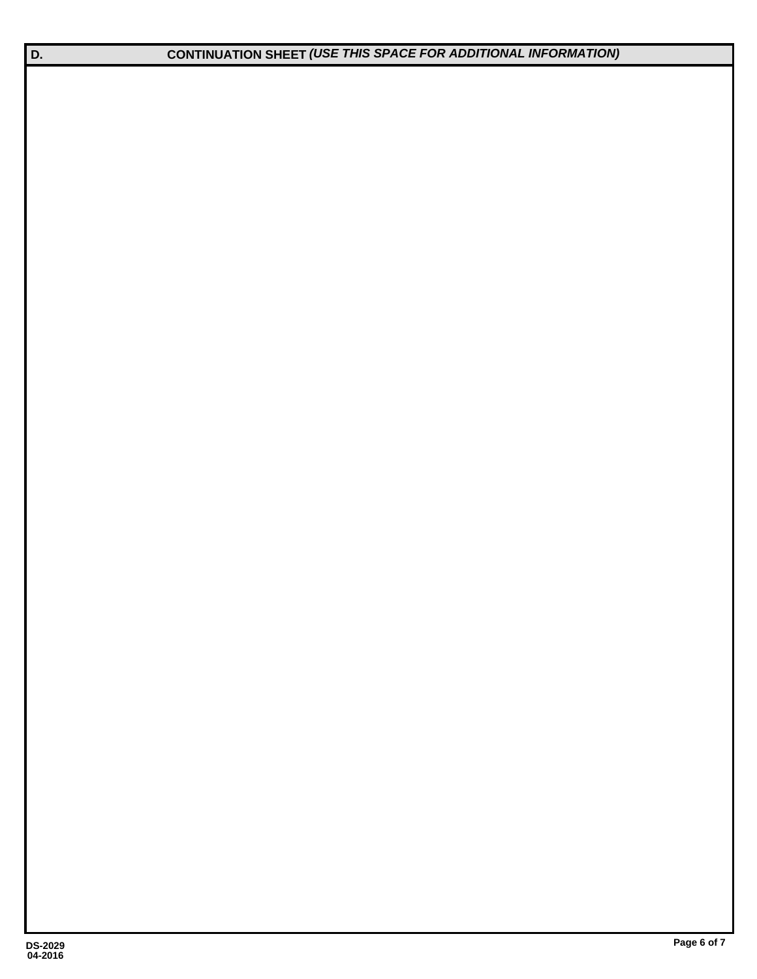**D. CONTINUATION SHEET** *(USE THIS SPACE FOR ADDITIONAL INFORMATION)*